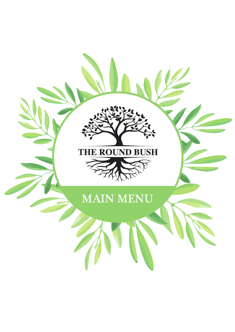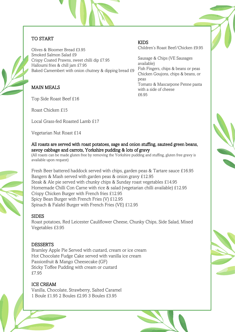

## TO START

Olives & Bloomer Bread £3.95 Smoked Salmon Salad £9 Crispy Coated Prawns, sweet chilli dip £7.95 Halloumi fries & chill jam £7.95 Baked Camembert with onion chutney & dipping bread £9

# MAIN MEALS

Top Side Roast Beef £16

Roast Chicken £15

Local Grass-fed Roasted Lamb £17

Vegetarian Nut Roast £14

#### KIDS

Children's Roast Beef/Chicken £9.95

Sausage & Chips (VE Sausages available) Fish Fingers, chips & beans or peas Chicken Goujons, chips & beans, or peas Tomato & Mascarpone Penne pasta with a side of cheese £6.95



#### All roasts are served with roast potatoes, sage and onion stuffing, sauteed green beans, savoy cabbage and carrots, Yorkshire pudding & lots of gravy

(All roasts can be made gluten free by removing the Yorkshire pudding and stuffing, gluten free gravy is available upon request)

Fresh Beer battered haddock served with chips, garden peas & Tartare sauce £16.95 Bangers & Mash served with garden peas & onion gravy £12.95 Steak & Ale pie served with chunky chips & Sunday roast vegetables £14.95 Homemade Chilli Con Carne with rice & salad (vegetarian chilli available) £12.95 Crispy Chicken Burger with French fries £12.95 Spicy Bean Burger with French Fries (V) £12.95 Spinach & Falafel Burger with French Fries (VE) £12.95

### **SIDES**

Roast potatoes, Red Leicester Cauliflower Cheese, Chunky Chips, Side Salad, Mixed Vegetables £3.95

### **DESSERTS**

Bramley Apple Pie Served with custard, cream or ice cream Hot Chocolate Fudge Cake served with vanilla ice cream Passionfruit & Mango Cheesecake (GF) Sticky Toffee Pudding with cream or custard £7.95

### ICE CREAM

Vanilla, Chocolate, Strawberry, Salted Caramel 1 Boule £1.95 2 Boules £2.95 3 Boules £3.95